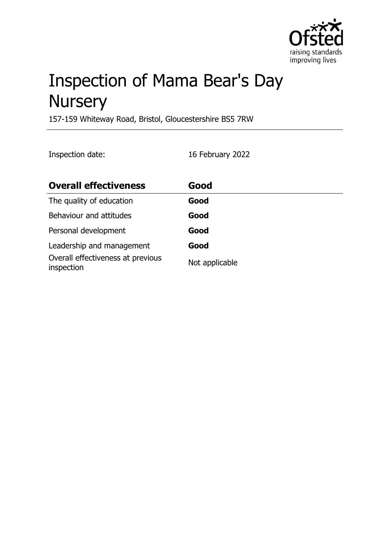

# Inspection of Mama Bear's Day **Nursery**

157-159 Whiteway Road, Bristol, Gloucestershire BS5 7RW

Inspection date: 16 February 2022

| <b>Overall effectiveness</b>                    | Good           |
|-------------------------------------------------|----------------|
| The quality of education                        | Good           |
| Behaviour and attitudes                         | Good           |
| Personal development                            | Good           |
| Leadership and management                       | Good           |
| Overall effectiveness at previous<br>inspection | Not applicable |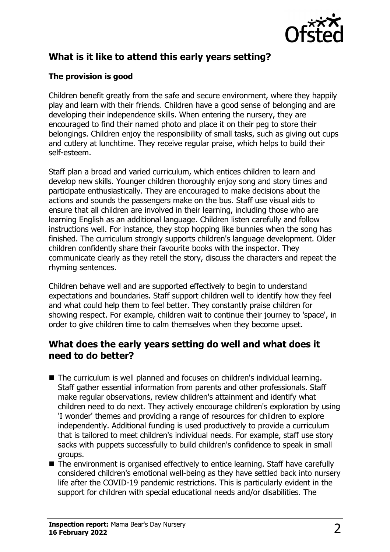

# **What is it like to attend this early years setting?**

#### **The provision is good**

Children benefit greatly from the safe and secure environment, where they happily play and learn with their friends. Children have a good sense of belonging and are developing their independence skills. When entering the nursery, they are encouraged to find their named photo and place it on their peg to store their belongings. Children enjoy the responsibility of small tasks, such as giving out cups and cutlery at lunchtime. They receive regular praise, which helps to build their self-esteem.

Staff plan a broad and varied curriculum, which entices children to learn and develop new skills. Younger children thoroughly enjoy song and story times and participate enthusiastically. They are encouraged to make decisions about the actions and sounds the passengers make on the bus. Staff use visual aids to ensure that all children are involved in their learning, including those who are learning English as an additional language. Children listen carefully and follow instructions well. For instance, they stop hopping like bunnies when the song has finished. The curriculum strongly supports children's language development. Older children confidently share their favourite books with the inspector. They communicate clearly as they retell the story, discuss the characters and repeat the rhyming sentences.

Children behave well and are supported effectively to begin to understand expectations and boundaries. Staff support children well to identify how they feel and what could help them to feel better. They constantly praise children for showing respect. For example, children wait to continue their journey to 'space', in order to give children time to calm themselves when they become upset.

## **What does the early years setting do well and what does it need to do better?**

- $\blacksquare$  The curriculum is well planned and focuses on children's individual learning. Staff gather essential information from parents and other professionals. Staff make regular observations, review children's attainment and identify what children need to do next. They actively encourage children's exploration by using 'I wonder' themes and providing a range of resources for children to explore independently. Additional funding is used productively to provide a curriculum that is tailored to meet children's individual needs. For example, staff use story sacks with puppets successfully to build children's confidence to speak in small groups.
- $\blacksquare$  The environment is organised effectively to entice learning. Staff have carefully considered children's emotional well-being as they have settled back into nursery life after the COVID-19 pandemic restrictions. This is particularly evident in the support for children with special educational needs and/or disabilities. The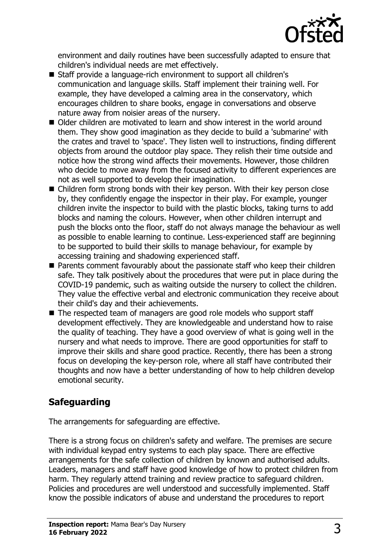

environment and daily routines have been successfully adapted to ensure that children's individual needs are met effectively.

- Staff provide a language-rich environment to support all children's communication and language skills. Staff implement their training well. For example, they have developed a calming area in the conservatory, which encourages children to share books, engage in conversations and observe nature away from noisier areas of the nursery.
- Older children are motivated to learn and show interest in the world around them. They show good imagination as they decide to build a 'submarine' with the crates and travel to 'space'. They listen well to instructions, finding different objects from around the outdoor play space. They relish their time outside and notice how the strong wind affects their movements. However, those children who decide to move away from the focused activity to different experiences are not as well supported to develop their imagination.
- $\blacksquare$  Children form strong bonds with their key person. With their key person close by, they confidently engage the inspector in their play. For example, younger children invite the inspector to build with the plastic blocks, taking turns to add blocks and naming the colours. However, when other children interrupt and push the blocks onto the floor, staff do not always manage the behaviour as well as possible to enable learning to continue. Less-experienced staff are beginning to be supported to build their skills to manage behaviour, for example by accessing training and shadowing experienced staff.
- $\blacksquare$  Parents comment favourably about the passionate staff who keep their children safe. They talk positively about the procedures that were put in place during the COVID-19 pandemic, such as waiting outside the nursery to collect the children. They value the effective verbal and electronic communication they receive about their child's day and their achievements.
- $\blacksquare$  The respected team of managers are good role models who support staff development effectively. They are knowledgeable and understand how to raise the quality of teaching. They have a good overview of what is going well in the nursery and what needs to improve. There are good opportunities for staff to improve their skills and share good practice. Recently, there has been a strong focus on developing the key-person role, where all staff have contributed their thoughts and now have a better understanding of how to help children develop emotional security.

## **Safeguarding**

The arrangements for safeguarding are effective.

There is a strong focus on children's safety and welfare. The premises are secure with individual keypad entry systems to each play space. There are effective arrangements for the safe collection of children by known and authorised adults. Leaders, managers and staff have good knowledge of how to protect children from harm. They regularly attend training and review practice to safeguard children. Policies and procedures are well understood and successfully implemented. Staff know the possible indicators of abuse and understand the procedures to report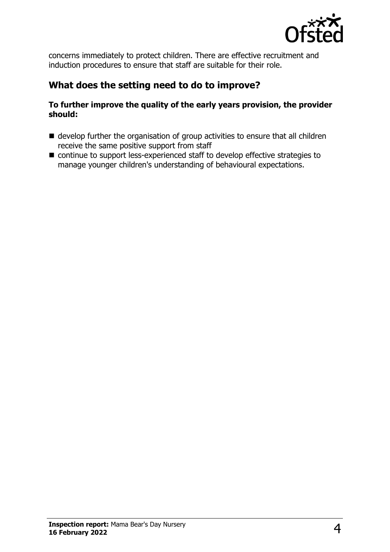

concerns immediately to protect children. There are effective recruitment and induction procedures to ensure that staff are suitable for their role.

## **What does the setting need to do to improve?**

#### **To further improve the quality of the early years provision, the provider should:**

- $\blacksquare$  develop further the organisation of group activities to ensure that all children receive the same positive support from staff
- $\blacksquare$  continue to support less-experienced staff to develop effective strategies to manage younger children's understanding of behavioural expectations.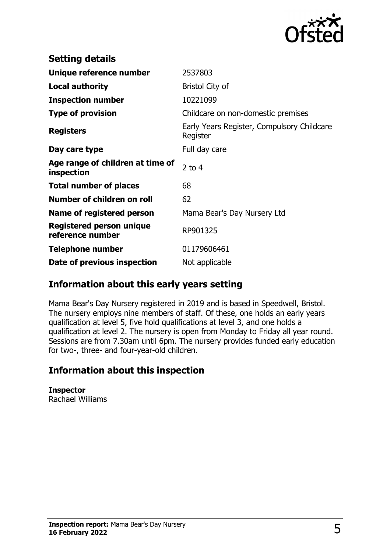

| <b>Setting details</b>                         |                                                        |
|------------------------------------------------|--------------------------------------------------------|
| Unique reference number                        | 2537803                                                |
| <b>Local authority</b>                         | <b>Bristol City of</b>                                 |
| <b>Inspection number</b>                       | 10221099                                               |
| <b>Type of provision</b>                       | Childcare on non-domestic premises                     |
| <b>Registers</b>                               | Early Years Register, Compulsory Childcare<br>Register |
| Day care type                                  | Full day care                                          |
| Age range of children at time of<br>inspection | 2 to $4$                                               |
| <b>Total number of places</b>                  | 68                                                     |
| Number of children on roll                     | 62                                                     |
| Name of registered person                      | Mama Bear's Day Nursery Ltd                            |
| Registered person unique<br>reference number   | RP901325                                               |
| <b>Telephone number</b>                        | 01179606461                                            |
| Date of previous inspection                    | Not applicable                                         |

## **Information about this early years setting**

Mama Bear's Day Nursery registered in 2019 and is based in Speedwell, Bristol. The nursery employs nine members of staff. Of these, one holds an early years qualification at level 5, five hold qualifications at level 3, and one holds a qualification at level 2. The nursery is open from Monday to Friday all year round. Sessions are from 7.30am until 6pm. The nursery provides funded early education for two-, three- and four-year-old children.

## **Information about this inspection**

**Inspector** Rachael Williams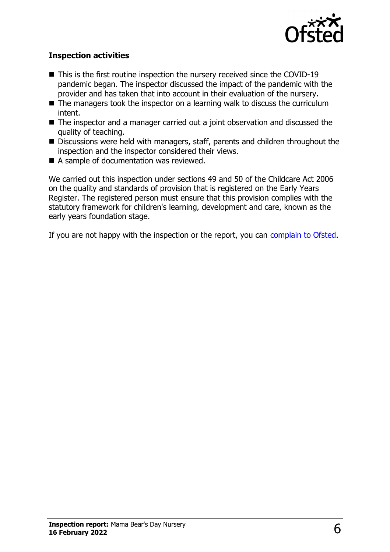

#### **Inspection activities**

- $\blacksquare$  This is the first routine inspection the nursery received since the COVID-19 pandemic began. The inspector discussed the impact of the pandemic with the provider and has taken that into account in their evaluation of the nursery.
- $\blacksquare$  The managers took the inspector on a learning walk to discuss the curriculum intent.
- The inspector and a manager carried out a joint observation and discussed the quality of teaching.
- Discussions were held with managers, staff, parents and children throughout the inspection and the inspector considered their views.
- $\blacksquare$  A sample of documentation was reviewed.

We carried out this inspection under sections 49 and 50 of the Childcare Act 2006 on the quality and standards of provision that is registered on the Early Years Register. The registered person must ensure that this provision complies with the statutory framework for children's learning, development and care, known as the early years foundation stage.

If you are not happy with the inspection or the report, you can [complain to Ofsted](http://www.gov.uk/complain-ofsted-report).